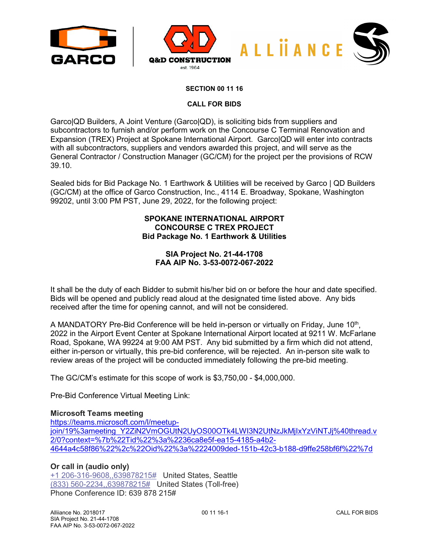



#### **SECTION 00 11 16**

#### **CALL FOR BIDS**

Garco|QD Builders, A Joint Venture (Garco|QD), is soliciting bids from suppliers and subcontractors to furnish and/or perform work on the Concourse C Terminal Renovation and Expansion (TREX) Project at Spokane International Airport. Garco|QD will enter into contracts with all subcontractors, suppliers and vendors awarded this project, and will serve as the General Contractor / Construction Manager (GC/CM) for the project per the provisions of RCW 39.10.

Sealed bids for Bid Package No. 1 Earthwork & Utilities will be received by Garco | QD Builders (GC/CM) at the office of Garco Construction, Inc., 4114 E. Broadway, Spokane, Washington 99202, until 3:00 PM PST, June 29, 2022, for the following project:

# **SPOKANE INTERNATIONAL AIRPORT CONCOURSE C TREX PROJECT Bid Package No. 1 Earthwork & Utilities**

## **SIA Project No. 21-44-1708 FAA AIP No. 3-53-0072-067-2022**

It shall be the duty of each Bidder to submit his/her bid on or before the hour and date specified. Bids will be opened and publicly read aloud at the designated time listed above. Any bids received after the time for opening cannot, and will not be considered.

A MANDATORY Pre-Bid Conference will be held in-person or virtually on Friday, June  $10<sup>th</sup>$ , 2022 in the Airport Event Center at Spokane International Airport located at 9211 W. McFarlane Road, Spokane, WA 99224 at 9:00 AM PST. Any bid submitted by a firm which did not attend, either in-person or virtually, this pre-bid conference, will be rejected. An in-person site walk to review areas of the project will be conducted immediately following the pre-bid meeting.

The GC/CM's estimate for this scope of work is \$3,750,00 - \$4,000,000.

Pre-Bid Conference Virtual Meeting Link:

#### **Microsoft Teams meeting**

[https://teams.microsoft.com/l/meetup](https://teams.microsoft.com/l/meetup-join/19%3ameeting_Y2ZiN2VmOGUtN2UyOS00OTk4LWI3N2UtNzJkMjIxYzViNTJj%40thread.v2/0?context=%7b%22Tid%22%3a%2236ca8e5f-ea15-4185-a4b2-4644a4c58f86%22%2c%22Oid%22%3a%2224009ded-151b-42c3-b188-d9ffe258bf6f%22%7d)[join/19%3ameeting\\_Y2ZiN2VmOGUtN2UyOS00OTk4LWI3N2UtNzJkMjIxYzViNTJj%40thread.v](https://teams.microsoft.com/l/meetup-join/19%3ameeting_Y2ZiN2VmOGUtN2UyOS00OTk4LWI3N2UtNzJkMjIxYzViNTJj%40thread.v2/0?context=%7b%22Tid%22%3a%2236ca8e5f-ea15-4185-a4b2-4644a4c58f86%22%2c%22Oid%22%3a%2224009ded-151b-42c3-b188-d9ffe258bf6f%22%7d) [2/0?context=%7b%22Tid%22%3a%2236ca8e5f-ea15-4185-a4b2-](https://teams.microsoft.com/l/meetup-join/19%3ameeting_Y2ZiN2VmOGUtN2UyOS00OTk4LWI3N2UtNzJkMjIxYzViNTJj%40thread.v2/0?context=%7b%22Tid%22%3a%2236ca8e5f-ea15-4185-a4b2-4644a4c58f86%22%2c%22Oid%22%3a%2224009ded-151b-42c3-b188-d9ffe258bf6f%22%7d) [4644a4c58f86%22%2c%22Oid%22%3a%2224009ded-151b-42c3-b188-d9ffe258bf6f%22%7d](https://teams.microsoft.com/l/meetup-join/19%3ameeting_Y2ZiN2VmOGUtN2UyOS00OTk4LWI3N2UtNzJkMjIxYzViNTJj%40thread.v2/0?context=%7b%22Tid%22%3a%2236ca8e5f-ea15-4185-a4b2-4644a4c58f86%22%2c%22Oid%22%3a%2224009ded-151b-42c3-b188-d9ffe258bf6f%22%7d)

## **Or call in (audio only)**

[+1 206-316-9608,,639878215#](tel:+12063169608,,639878215#%20) United States, Seattle [\(833\) 560-2234,,639878215#](tel:8335602234,,639878215#%20) United States (Toll-free) Phone Conference ID: 639 878 215#